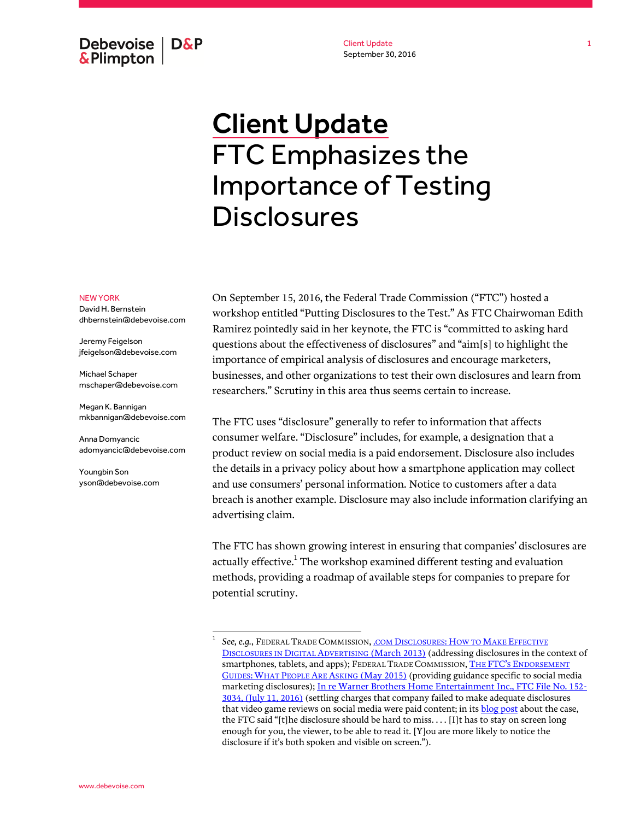Debevoise  $\overline{ }$  D&P **&Plimpton** 

Client Update September 30, 2016

# Client Update FTC Emphasizes the Importance of Testing **Disclosures**

#### NEW YORK

David H. Bernstein dhbernstein@debevoise.com

Jeremy Feigelson jfeigelson@debevoise.com

Michael Schaper mschaper@debevoise.com

Megan K. Bannigan mkbannigan@debevoise.com

Anna Domyancic adomyancic@debevoise.com

 $\overline{a}$ 

Youngbin Son yson@debevoise.com

On September 15, 2016, the Federal Trade Commission ("FTC") hosted a workshop entitled "Putting Disclosures to the Test." As FTC Chairwoman Edith Ramirez pointedly said in her keynote, the FTC is "committed to asking hard questions about the effectiveness of disclosures" and "aim[s] to highlight the importance of empirical analysis of disclosures and encourage marketers, businesses, and other organizations to test their own disclosures and learn from researchers." Scrutiny in this area thus seems certain to increase.

The FTC uses "disclosure" generally to refer to information that affects consumer welfare. "Disclosure" includes, for example, a designation that a product review on social media is a paid endorsement. Disclosure also includes the details in a privacy policy about how a smartphone application may collect and use consumers' personal information. Notice to customers after a data breach is another example. Disclosure may also include information clarifying an advertising claim.

The FTC has shown growing interest in ensuring that companies' disclosures are actually effective.<sup>1</sup> The workshop examined different testing and evaluation methods, providing a roadmap of available steps for companies to prepare for potential scrutiny.

<sup>1</sup> See, e.g., FEDERAL TRADE COMMISSION, **.COM D[ISCLOSURES](https://www.ftc.gov/sites/default/files/attachments/press-releases/ftc-staff-revises-online-advertising-disclosure-guidelines/130312dotcomdisclosures.pdf): HOW TO MAKE EFFECTIVE** D[ISCLOSURES IN](https://www.ftc.gov/sites/default/files/attachments/press-releases/ftc-staff-revises-online-advertising-disclosure-guidelines/130312dotcomdisclosures.pdf) DIGITAL ADVERTISING [\(March 2013\)](https://www.ftc.gov/sites/default/files/attachments/press-releases/ftc-staff-revises-online-advertising-disclosure-guidelines/130312dotcomdisclosures.pdf) (addressing disclosures in the context of smartphones, tablets, and apps); FEDERAL TRADE COMMISSION, THE FTC'S ENDORSEMENT GUIDES: WHAT PEOPLE ARE ASKING [\(May 2015\)](https://www.ftc.gov/system/files/documents/plain-language/pdf-0205-endorsement-guides-faqs_0.pdf) (providing guidance specific to social media marketing disclosures)[; In re Warner Brothers Home Entertainment Inc., FTC File No. 152-](https://www.ftc.gov/system/files/documents/cases/160711warnerbrosdo.pdf) [3034, \(July 11, 2016\)](https://www.ftc.gov/system/files/documents/cases/160711warnerbrosdo.pdf) (settling charges that company failed to make adequate disclosures that video game reviews on social media were paid content; in its **blog post** about the case, the FTC said "[t]he disclosure should be hard to miss. . . . [I]t has to stay on screen long enough for you, the viewer, to be able to read it. [Y]ou are more likely to notice the disclosure if it's both spoken and visible on screen.").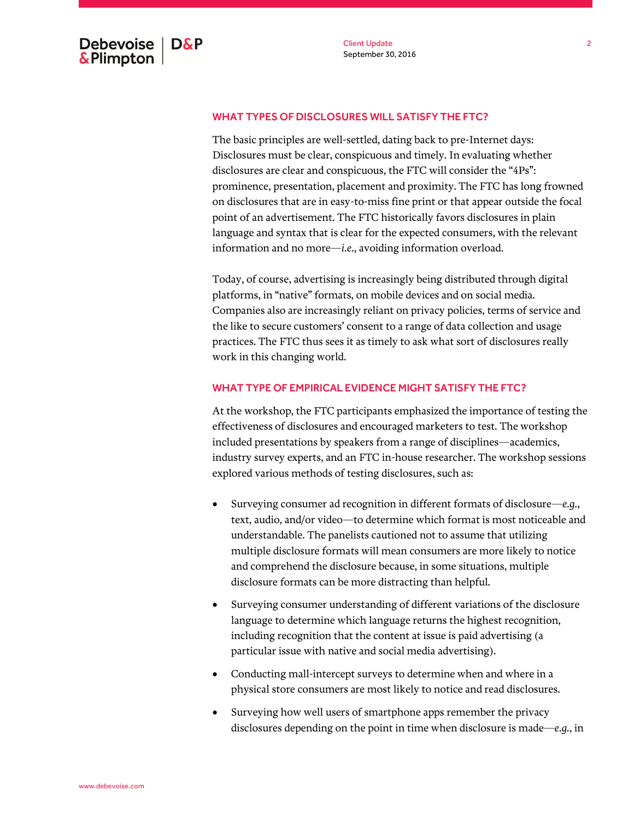### WHAT TYPES OF DISCLOSURES WILL SATISFY THE FTC?

The basic principles are well-settled, dating back to pre-Internet days: Disclosures must be clear, conspicuous and timely. In evaluating whether disclosures are clear and conspicuous, the FTC will consider the "4Ps": prominence, presentation, placement and proximity. The FTC has long frowned on disclosures that are in easy-to-miss fine print or that appear outside the focal point of an advertisement. The FTC historically favors disclosures in plain language and syntax that is clear for the expected consumers, with the relevant information and no more—*i.e.*, avoiding information overload.

Today, of course, advertising is increasingly being distributed through digital platforms, in "native" formats, on mobile devices and on social media. Companies also are increasingly reliant on privacy policies, terms of service and the like to secure customers' consent to a range of data collection and usage practices. The FTC thus sees it as timely to ask what sort of disclosures really work in this changing world.

## WHAT TYPE OF EMPIRICAL EVIDENCE MIGHT SATISFY THE FTC?

At the workshop, the FTC participants emphasized the importance of testing the effectiveness of disclosures and encouraged marketers to test. The workshop included presentations by speakers from a range of disciplines—academics, industry survey experts, and an FTC in-house researcher. The workshop sessions explored various methods of testing disclosures, such as:

- Surveying consumer ad recognition in different formats of disclosure—*e.g.*, text, audio, and/or video—to determine which format is most noticeable and understandable. The panelists cautioned not to assume that utilizing multiple disclosure formats will mean consumers are more likely to notice and comprehend the disclosure because, in some situations, multiple disclosure formats can be more distracting than helpful.
- Surveying consumer understanding of different variations of the disclosure language to determine which language returns the highest recognition, including recognition that the content at issue is paid advertising (a particular issue with native and social media advertising).
- Conducting mall-intercept surveys to determine when and where in a physical store consumers are most likely to notice and read disclosures.
- Surveying how well users of smartphone apps remember the privacy disclosures depending on the point in time when disclosure is made—*e.g.*, in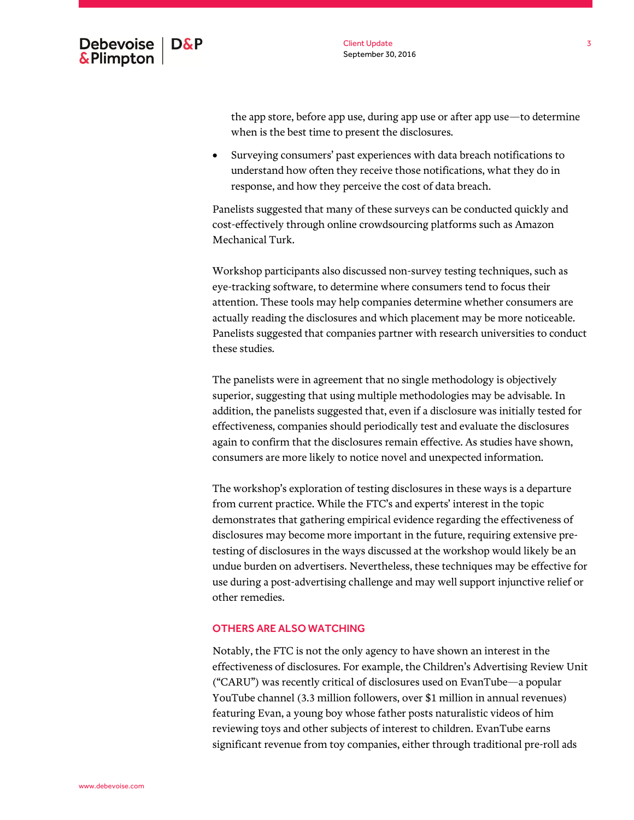

the app store, before app use, during app use or after app use—to determine when is the best time to present the disclosures.

 Surveying consumers' past experiences with data breach notifications to understand how often they receive those notifications, what they do in response, and how they perceive the cost of data breach.

Panelists suggested that many of these surveys can be conducted quickly and cost-effectively through online crowdsourcing platforms such as Amazon Mechanical Turk.

Workshop participants also discussed non-survey testing techniques, such as eye-tracking software, to determine where consumers tend to focus their attention. These tools may help companies determine whether consumers are actually reading the disclosures and which placement may be more noticeable. Panelists suggested that companies partner with research universities to conduct these studies.

The panelists were in agreement that no single methodology is objectively superior, suggesting that using multiple methodologies may be advisable. In addition, the panelists suggested that, even if a disclosure was initially tested for effectiveness, companies should periodically test and evaluate the disclosures again to confirm that the disclosures remain effective. As studies have shown, consumers are more likely to notice novel and unexpected information.

The workshop's exploration of testing disclosures in these ways is a departure from current practice. While the FTC's and experts' interest in the topic demonstrates that gathering empirical evidence regarding the effectiveness of disclosures may become more important in the future, requiring extensive pretesting of disclosures in the ways discussed at the workshop would likely be an undue burden on advertisers. Nevertheless, these techniques may be effective for use during a post-advertising challenge and may well support injunctive relief or other remedies.

#### OTHERS ARE ALSO WATCHING

Notably, the FTC is not the only agency to have shown an interest in the effectiveness of disclosures. For example, the Children's Advertising Review Unit ("CARU") was recently critical of disclosures used on EvanTube—a popular YouTube channel (3.3 million followers, over \$1 million in annual revenues) featuring Evan, a young boy whose father posts naturalistic videos of him reviewing toys and other subjects of interest to children. EvanTube earns significant revenue from toy companies, either through traditional pre-roll ads